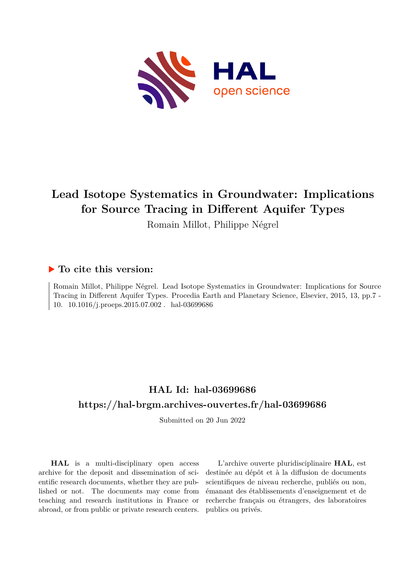

# **Lead Isotope Systematics in Groundwater: Implications for Source Tracing in Different Aquifer Types**

Romain Millot, Philippe Négrel

# **To cite this version:**

Romain Millot, Philippe Négrel. Lead Isotope Systematics in Groundwater: Implications for Source Tracing in Different Aquifer Types. Procedia Earth and Planetary Science, Elsevier, 2015, 13, pp.7 - 10. 10.1016/j.proeps.2015.07.002 . hal-03699686

# **HAL Id: hal-03699686 <https://hal-brgm.archives-ouvertes.fr/hal-03699686>**

Submitted on 20 Jun 2022

**HAL** is a multi-disciplinary open access archive for the deposit and dissemination of scientific research documents, whether they are published or not. The documents may come from teaching and research institutions in France or abroad, or from public or private research centers.

L'archive ouverte pluridisciplinaire **HAL**, est destinée au dépôt et à la diffusion de documents scientifiques de niveau recherche, publiés ou non, émanant des établissements d'enseignement et de recherche français ou étrangers, des laboratoires publics ou privés.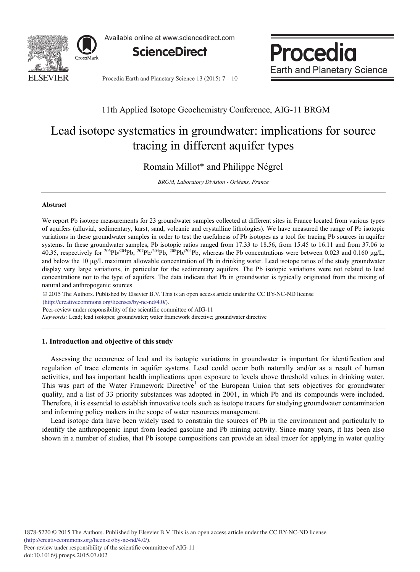

Available online at www.sciencedirect.com



Procedia **Earth and Planetary Science** 

Procedia Earth and Planetary Science 13 ( $2015$ )  $7 - 10$ 

## 11th Applied Isotope Geochemistry Conference, AIG-11 BRGM

# Lead isotope systematics in groundwater: implications for source tracing in different aquifer types

Romain Millot\* and Philippe Négrel

*BRGM, Laboratory Division - Orléans, France*

### **Abstract**

We report Pb isotope measurements for 23 groundwater samples collected at different sites in France located from various types of aquifers (alluvial, sedimentary, karst, sand, volcanic and crystalline lithologies). We have measured the range of Pb isotopic variations in these groundwater samples in order to test the usefulness of Pb isotopes as a tool for tracing Pb sources in aquifer systems. In these groundwater samples, Pb isotopic ratios ranged from 17.33 to 18.56, from 15.45 to 16.11 and from 37.06 to 40.35, respectively for <sup>206</sup>Pb/<sup>204</sup>Pb, <sup>207</sup>Pb/<sup>204</sup>Pb, <sup>208</sup>Pb/<sup>204</sup>Pb, whereas the Pb concentrations were between 0.023 and 0.160 μg/L, and below the 10 μg/L maximum allowable concentration of Pb in drinking water. Lead isotope ratios of the study groundwater display very large variations, in particular for the sedimentary aquifers. The Pb isotopic variations were not related to lead concentrations nor to the type of aquifers. The data indicate that Pb in groundwater is typically originated from the mixing of natural and anthropogenic sources.

© 2015 The Authors. Published by Elsevier B.V. © 2015 The Authors. Published by Elsevier B.V. This is an open access article under the CC BY-NC-ND license (http://creativecommons.org/licenses/by-nc-nd/4.0/).

Peer-review under responsibility of the scientific committee of AIG-11

*Keywords:* Lead; lead isotopes; groundwater; water framework directive; groundwater directive

## **1. Introduction and objective of this study**

Assessing the occurence of lead and its isotopic variations in groundwater is important for identification and regulation of trace elements in aquifer systems. Lead could occur both naturally and/or as a result of human activities, and has important health implications upon exposure to levels above threshold values in drinking water. This was part of the Water Framework Directive<sup>1</sup> of the European Union that sets objectives for groundwater quality, and a list of 33 priority substances was adopted in 2001, in which Pb and its compounds were included. Therefore, it is essential to establish innovative tools such as isotope tracers for studying groundwater contamination and informing policy makers in the scope of water resources management.

Lead isotope data have been widely used to constrain the sources of Pb in the environment and particularly to identify the anthropogenic input from leaded gasoline and Pb mining activity. Since many years, it has been also shown in a number of studies, that Pb isotope compositions can provide an ideal tracer for applying in water quality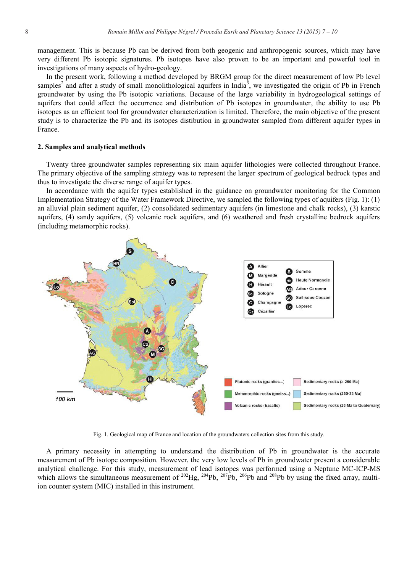management. This is because Pb can be derived from both geogenic and anthropogenic sources, which may have very different Pb isotopic signatures. Pb isotopes have also proven to be an important and powerful tool in investigations of many aspects of hydro-geology.

In the present work, following a method developed by BRGM group for the direct measurement of low Pb level samples<sup>2</sup> and after a study of small monolithological aquifers in India<sup>3</sup>, we investigated the origin of Pb in French groundwater by using the Pb isotopic variations. Because of the large variability in hydrogeological settings of aquifers that could affect the occurrence and distribution of Pb isotopes in groundwater, the ability to use Pb isotopes as an efficient tool for groundwater characterization is limited. Therefore, the main objective of the present study is to characterize the Pb and its isotopes distibution in groundwater sampled from different aquifer types in France.

### **2. Samples and analytical methods**

Twenty three groundwater samples representing six main aquifer lithologies were collected throughout France. The primary objective of the sampling strategy was to represent the larger spectrum of geological bedrock types and thus to investigate the diverse range of aquifer types.

In accordance with the aquifer types established in the guidance on groundwater monitoring for the Common Implementation Strategy of the Water Framework Directive, we sampled the following types of aquifers (Fig. 1): (1) an alluvial plain sediment aquifer, (2) consolidated sedimentary aquifers (in limestone and chalk rocks), (3) karstic aquifers, (4) sandy aquifers, (5) volcanic rock aquifers, and (6) weathered and fresh crystalline bedrock aquifers (including metamorphic rocks).



Fig. 1. Geological map of France and location of the groundwaters collection sites from this study.

A primary necessity in attempting to understand the distribution of Pb in groundwater is the accurate measurement of Pb isotope composition. However, the very low levels of Pb in groundwater present a considerable analytical challenge. For this study, measurement of lead isotopes was performed using a Neptune MC-ICP-MS which allows the simultaneous measurement of <sup>202</sup>Hg, <sup>204</sup>Pb, <sup>207</sup>Pb, <sup>206</sup>Pb and <sup>208</sup>Pb by using the fixed array, multiion counter system (MIC) installed in this instrument.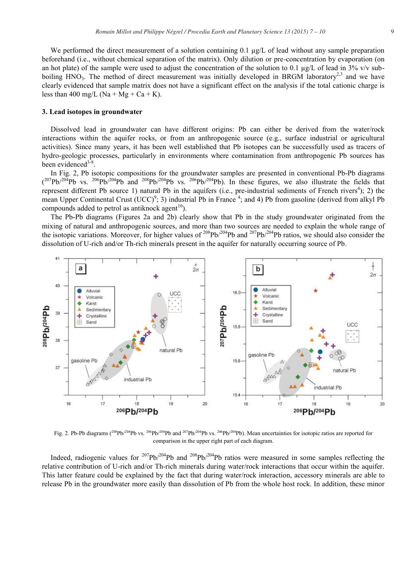We performed the direct measurement of a solution containing  $0.1 \mu g/L$  of lead without any sample preparation beforehand (i.e., without chemical separation of the matrix). Only dilution or pre-concentration by evaporation (on an hot plate) of the sample were used to adjust the concentration of the solution to 0.1 µg/L of lead in 3%  $v/v$  subboiling HNO<sub>3</sub>. The method of direct measurement was initially developed in BRGM laboratory<sup>2,3</sup> and we have clearly evidenced that sample matrix does not have a significant effect on the analysis if the total cationic charge is less than 400 mg/L (Na + Mg + Ca + K).

#### **3. Lead isotopes in groundwater**

Dissolved lead in groundwater can have different origins: Pb can either be derived from the water/rock interactions within the aquifer rocks, or from an anthropogenic source (e.g., surface industrial or agricultural activities). Since many years, it has been well established that Pb isotopes can be successfully used as tracers of hydro-geologic processes, particularly in environments where contamination from anthropogenic Pb sources has been evidenced $3-8$ .

In Fig. 2, Pb isotopic compositions for the groundwater samples are presented in conventional Pb-Pb diagrams  $(207Pb)^{204}Pb$  vs.  $206Pb^{204}Pb$  and  $208Pb^{204}Pb$  vs.  $206Pb^{204}Pb$ ). In these figures, we also illustrate the fields that represent different Pb source 1) natural Pb in the aquifers (i.e., pre-industrial sediments of French rivers<sup>4</sup>); 2) the mean Upper Continental Crust (UCC)<sup>9</sup>; 3) industrial Pb in France <sup>4</sup>; and 4) Pb from gasoline (derived from alkyl Pb compounds added to petrol as antiknock agent<sup>10</sup>).

The Pb-Pb diagrams (Figures 2a and 2b) clearly show that Pb in the study groundwater originated from the mixing of natural and anthropogenic sources, and more than two sources are needed to explain the whole range of the isotopic variations. Moreover, for higher values of  $208\text{Pb}/204\text{Pb}$  and  $207\text{Pb}/204\text{Pb}$  ratios, we should also consider the dissolution of U-rich and/or Th-rich minerals present in the aquifer for naturally occurring source of Pb.



Fig. 2. Pb-Pb diagrams ( $^{208}Pb/^{204}Pb$  vs.  $^{206}Pb/^{204}Pb$  and  $^{207}Pb/^{204}Pb$  vs.  $^{206}Pb/^{204}Pb$ ). Mean uncertainties for isotopic ratios are reported for comparison in the upper right part of each diagram.

Indeed, radiogenic values for 207Pb/204Pb and 208Pb/204Pb ratios were measured in some samples reflecting the relative contribution of U-rich and/or Th-rich minerals during water/rock interactions that occur within the aquifer. This latter feature could be explained by the fact that during water/rock interaction, accessory minerals are able to release Pb in the groundwater more easily than dissolution of Pb from the whole host rock. In addition, these minor